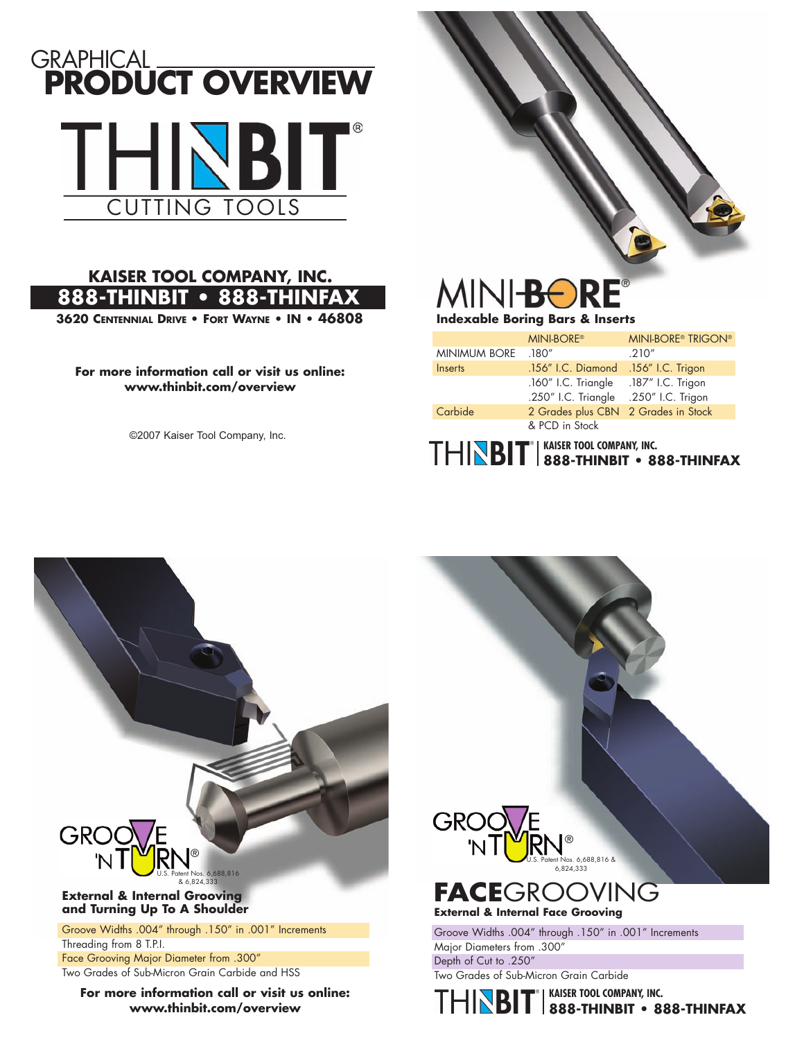

#### **KAISER TOOL COMPANY, INC. 888THINBIT • 888THINFAX**

**3620 CENTENNIAL DRIVE • FORT WAYNE • IN • 46808**

#### **For more information call or visit us online: www.thinbit.com/overview**

©2007 Kaiser Tool Company, Inc.

# **MINI-BOR** ®

#### **Indexable Boring Bars & Inserts**

| <b>KAISER TOOL COMPANY, INC.</b><br>888-THINBIT • 888-THINFAX |                           |  |
|---------------------------------------------------------------|---------------------------|--|
| & PCD in Stock                                                |                           |  |
| 2 Grades plus CBN 2 Grades in Stock                           |                           |  |
| .250" I.C. Triangle .250" I.C. Trigon                         |                           |  |
| .160" I.C. Triangle                                           | .187" I.C. Trigon         |  |
| .156" I.C. Diamond                                            | .156" I.C. Trigon         |  |
| .180''                                                        | .210''                    |  |
| <b>MINI-BORE®</b>                                             | <b>MINI-BORE® TRIGON®</b> |  |
|                                                               |                           |  |



**For more information call or visit us online: www.thinbit.com/overview**

Two Grades of Sub-Micron Grain Carbide

**KAISER TOOL COMPANY, INC. 888THINBIT • 888THINFAX**